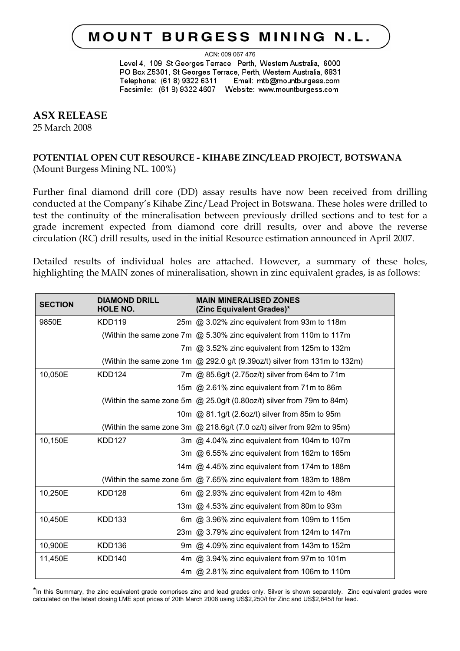# **MOUNT BURGESS MINING N.L.**

ACN: 009 067 476

Level 4, 109 St Georges Terrace, Perth, Western Australia, 6000 PO Box Z5301, St Georges Terrace, Perth, Western Australia, 6831 Telephone: (61 8) 9322 6311 Email: mtb@mountburgess.com 

# **ASX RELEASE**

25 March 2008

# **POTENTIAL OPEN CUT RESOURCE - KIHABE ZINC/LEAD PROJECT, BOTSWANA**  (Mount Burgess Mining NL. 100%)

Further final diamond drill core (DD) assay results have now been received from drilling conducted at the Company's Kihabe Zinc/Lead Project in Botswana. These holes were drilled to test the continuity of the mineralisation between previously drilled sections and to test for a grade increment expected from diamond core drill results, over and above the reverse circulation (RC) drill results, used in the initial Resource estimation announced in April 2007.

Detailed results of individual holes are attached. However, a summary of these holes, highlighting the MAIN zones of mineralisation, shown in zinc equivalent grades, is as follows:

| <b>SECTION</b> | <b>DIAMOND DRILL</b><br><b>HOLE NO.</b> | <b>MAIN MINERALISED ZONES</b><br>(Zinc Equivalent Grades)*                       |
|----------------|-----------------------------------------|----------------------------------------------------------------------------------|
| 9850E          | <b>KDD119</b>                           | 25m @ 3.02% zinc equivalent from 93m to 118m                                     |
|                |                                         | (Within the same zone 7m @ 5.30% zinc equivalent from 110m to 117m               |
|                |                                         | 7m @ 3.52% zinc equivalent from 125m to 132m                                     |
|                |                                         | (Within the same zone 1m $\omega$ 292.0 g/t (9.39oz/t) silver from 131m to 132m) |
| 10,050E        | KDD124                                  | 7m @ 85.6g/t (2.75oz/t) silver from 64m to 71m                                   |
|                |                                         | 15m @ 2.61% zinc equivalent from 71m to 86m                                      |
|                |                                         | (Within the same zone 5m @ 25.0g/t (0.80oz/t) silver from 79m to 84m)            |
|                |                                         | 10m @ 81.1g/t (2.6oz/t) silver from 85m to 95m                                   |
|                |                                         | (Within the same zone 3m @ 218.6g/t (7.0 oz/t) silver from 92m to 95m)           |
| 10,150E        | <b>KDD127</b>                           | 3m @ 4.04% zinc equivalent from 104m to 107m                                     |
|                |                                         | 3m @ 6.55% zinc equivalent from 162m to 165m                                     |
|                |                                         | 14m @ 4.45% zinc equivalent from 174m to 188m                                    |
|                |                                         | (Within the same zone 5m @ 7.65% zinc equivalent from 183m to 188m               |
| 10,250E        | <b>KDD128</b>                           | 6m @ 2.93% zinc equivalent from 42m to 48m                                       |
|                |                                         | 13m @ 4.53% zinc equivalent from 80m to 93m                                      |
| 10,450E        | <b>KDD133</b>                           | 6m @ 3.96% zinc equivalent from 109m to 115m                                     |
|                |                                         | 23m @ 3.79% zinc equivalent from 124m to 147m                                    |
| 10,900E        | KDD <sub>136</sub>                      | 9m @ 4.09% zinc equivalent from 143m to 152m                                     |
| 11,450E        | <b>KDD140</b>                           | 4m @ 3.94% zinc equivalent from 97m to 101m                                      |
|                |                                         | 4m @ 2.81% zinc equivalent from 106m to 110m                                     |

\*In this Summary, the zinc equivalent grade comprises zinc and lead grades only. Silver is shown separately. Zinc equivalent grades were calculated on the latest closing LME spot prices of 20th March 2008 using US\$2,250/t for Zinc and US\$2,645/t for lead.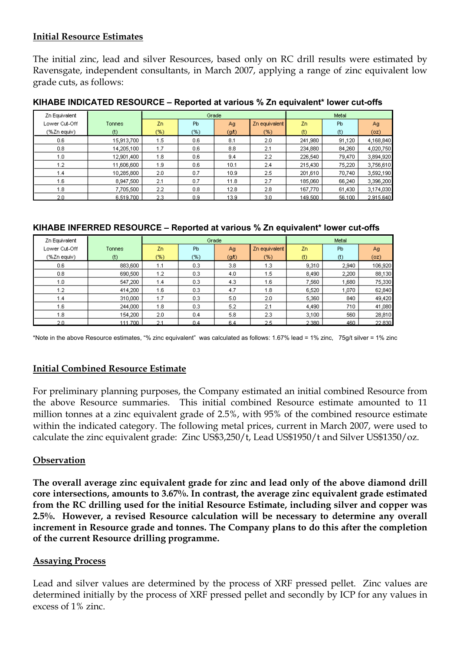# **Initial Resource Estimates**

The initial zinc, lead and silver Resources, based only on RC drill results were estimated by Ravensgate, independent consultants, in March 2007, applying a range of zinc equivalent low grade cuts, as follows:

| Zn Equivalent |            | Grade  |     |      |               | Metal   |        |           |
|---------------|------------|--------|-----|------|---------------|---------|--------|-----------|
| Lower Cut-Off | Tonnes     | Zn.    | Pb  | Ag/  | Zn equivalent | Zn.     | Pb     | Ag        |
| (%Zn equiv)   | $(t)$      | $(\%)$ | (%) | (gh) | (%)           | $(t)$   | $(t)$  | (oz)      |
| 0.6           | 15,913,700 | 1.5    | 0.6 | 8.1  | 2.0           | 241,980 | 91,120 | 4,168,840 |
| 0.8           | 14,205,100 | 1.7    | 0.6 | 8.8  | 2.1           | 234,880 | 84,260 | 4,020,750 |
| 1.0           | 12,901,400 | 1.8    | 0.6 | 9.4  | 2.2           | 226,540 | 79,470 | 3,894,920 |
| 1.2           | 11,606,600 | 1.9    | 0.6 | 10.1 | 2.4           | 215,430 | 75,220 | 3,756,610 |
| 1.4           | 10,285,800 | 2.0    | 0.7 | 10.9 | 2.5           | 201,610 | 70,740 | 3,592,190 |
| 1.6           | 8,947,500  | 2.1    | 0.7 | 11.8 | 2.7           | 185,060 | 66,240 | 3,396,200 |
| 1.8           | 7,705,500  | 2.2    | 0.8 | 12.8 | 2.8           | 167,770 | 61,430 | 3,174,030 |
| 2.0           | 6,519,700  | 2.3    | 0.9 | 13.9 | 3.0           | 149,500 | 56,100 | 2,915,640 |

#### **KIHABE INDICATED RESOURCE – Reported at various % Zn equivalent\* lower cut-offs**

#### **KIHABE INFERRED RESOURCE – Reported at various % Zn equivalent\* lower cut-offs**

| Zn Equivalent |         | Grade |                |                   |               | Metal |       |         |
|---------------|---------|-------|----------------|-------------------|---------------|-------|-------|---------|
| Lower Cut-Off | Tonnes  | Zn.   | P <sub>b</sub> | Ag                | Zn equivalent | Zn.   | Pb.   | Ag.     |
| (%Zn equiv)   | $(t)$   | $(*)$ | (%)            | (g <sub>A</sub> ) | (%)           | $(t)$ | $(t)$ | (oz)    |
| 0.6           | 883,600 | 1.1   | 0.3            | 3.8 <sub>2</sub>  | 1.3           | 9,310 | 2,940 | 106,920 |
| 0.8           | 690,500 | 1.2   | 0.3            | 4.0               | 1.5           | 8,490 | 2,200 | 88,130  |
| 1.0           | 547,200 | 1.4   | 0.3            | 4.3               | 1.6           | 7,560 | 1,680 | 75,330  |
| 1.2           | 414,200 | 1.6   | 0.3            | 4.7               | 1.8           | 6,520 | 1,070 | 62,840  |
| 1.4           | 310,000 | 1.7   | 0.3            | 5.0               | 2.0           | 5,360 | 840   | 49,420  |
| 1.6           | 244,000 | 1.8   | 0.3            | 5.2               | 2.1           | 4,490 | 710   | 41,080  |
| 1.8           | 154,200 | 2.0   | 0.4            | 5.8               | 2.3           | 3,100 | 560   | 28,810  |
| 2.0           | 111,700 | 2.1   | 0.4            | 6.4               | 2.5           | 2.380 | 460   | 22,830  |

\*Note in the above Resource estimates, "% zinc equivalent" was calculated as follows: 1.67% lead = 1% zinc, 75g/t silver = 1% zinc

# **Initial Combined Resource Estimate**

For preliminary planning purposes, the Company estimated an initial combined Resource from the above Resource summaries. This initial combined Resource estimate amounted to 11 million tonnes at a zinc equivalent grade of 2.5%, with 95% of the combined resource estimate within the indicated category. The following metal prices, current in March 2007, were used to calculate the zinc equivalent grade: Zinc US\$3,250/t, Lead US\$1950/t and Silver US\$1350/oz.

## **Observation**

**The overall average zinc equivalent grade for zinc and lead only of the above diamond drill core intersections, amounts to 3.67%. In contrast, the average zinc equivalent grade estimated from the RC drilling used for the initial Resource Estimate, including silver and copper was 2.5%. However, a revised Resource calculation will be necessary to determine any overall increment in Resource grade and tonnes. The Company plans to do this after the completion of the current Resource drilling programme.** 

## **Assaying Process**

Lead and silver values are determined by the process of XRF pressed pellet. Zinc values are determined initially by the process of XRF pressed pellet and secondly by ICP for any values in excess of 1% zinc.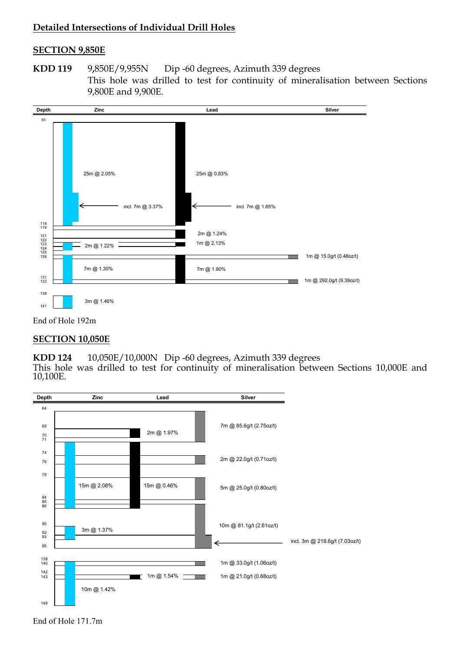## **Detailed Intersections of Individual Drill Holes**

#### **SECTION 9,850E**

**KDD 119** 9**,**850E/9,955N Dip -60 degrees, Azimuth 339 degrees This hole was drilled to test for continuity of mineralisation between Sections 9,800E and 9,900E.



## End of Hole 192m

#### **SECTION 10,050E**

**KDD 124** 10,050E/10,000N Dip -60 degrees, Azimuth 339 degrees This hole was drilled to test for continuity of mineralisation between Sections 10,000E and 10,100E.



End of Hole 171.7m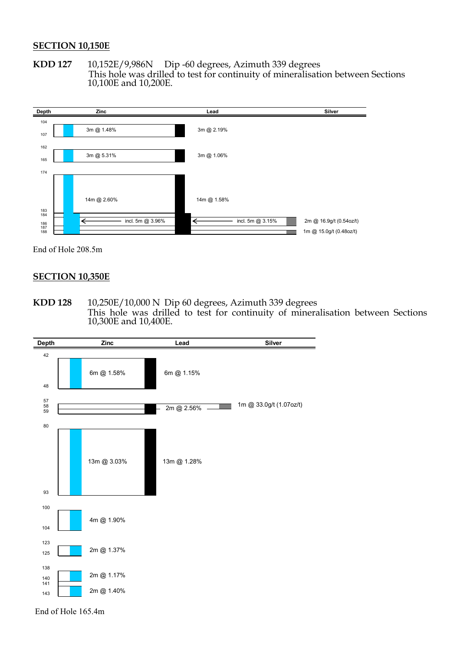#### **SECTION 10,150E**

**KDD 127** 10,152E/9,986N Dip -60 degrees, Azimuth 339 degrees This hole was drilled to test for continuity of mineralisation between Sections 10,100E and 10,200E.



End of Hole 208.5m

#### **SECTION 10,350E**

**KDD 128** 10,250E/10,000 N Dip 60 degrees, Azimuth 339 degrees This hole was drilled to test for continuity of mineralisation between Sections 10,300E and 10,400E.



End of Hole 165.4m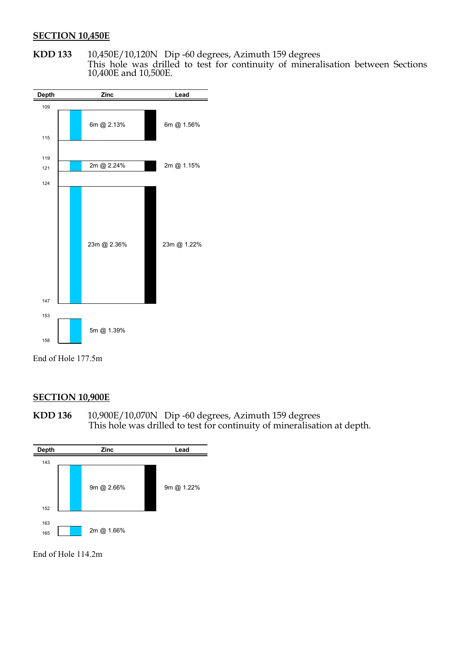#### **SECTION 10,450E**

**KDD 133** 10,450E/10,120N Dip -60 degrees, Azimuth 159 degrees This hole was drilled to test for continuity of mineralisation between Sections 10,400E and 10,500E.



End of Hole 177.5m

# **SECTION 10,900E**

**KDD 136** 10,900E/10,070N Dip -60 degrees, Azimuth 159 degrees This hole was drilled to test for continuity of mineralisation at depth.



End of Hole 114.2m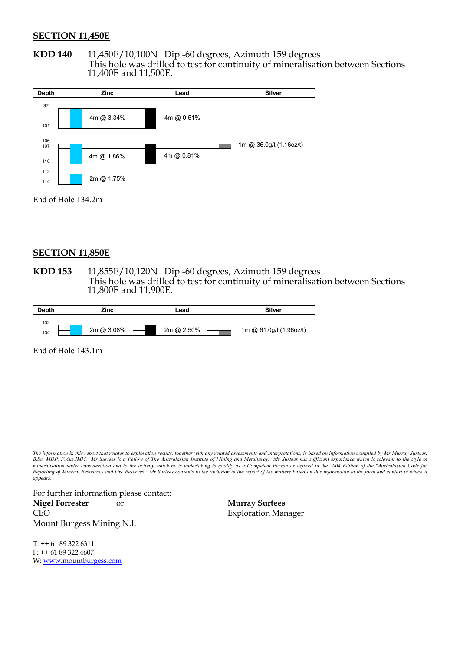#### **SECTION 11,450E**

**KDD 140** 11,450E/10,100N Dip -60 degrees, Azimuth 159 degrees This hole was drilled to test for continuity of mineralisation between Sections 11,400E and 11,500E.

| <b>Depth</b> | Zinc       | Lead       | <b>Silver</b>           |
|--------------|------------|------------|-------------------------|
| 97           |            |            |                         |
| 101          | 4m @ 3.34% | 4m @ 0.51% |                         |
| 106          |            |            | 1m @ 36.0g/t (1.16oz/t) |
| 107<br>110   | 4m @ 1.86% | 4m @ 0.81% |                         |
| 112<br>114   | 2m @ 1.75% |            |                         |

End of Hole 134.2m

#### **SECTION 11,850E**

**KDD 153** 11,855E/10,120N Dip -60 degrees, Azimuth 159 degrees This hole was drilled to test for continuity of mineralisation between Sections 11,800E and 11,900E.

| <b>Depth</b> | Zinc |            | Lead       | <b>Silver</b>           |  |
|--------------|------|------------|------------|-------------------------|--|
| 132          |      |            |            |                         |  |
| 134          |      | 2m @ 3.08% | 2m @ 2.50% | 1m @ 61.0g/t (1.96oz/t) |  |

End of Hole 143.1m

*The information in this report that relates to exploration results, together with any related assessments and interpretations, is based on information compiled by Mr Murray Surtees, B.Sc, MDP, F.Aus.IMM. Mr Surtees is a Fellow of The Australasian Institute of Mining and Metallurgy. Mr Surtees has sufficient experience which is relevant to the style of mineralisation under consideration and to the activity which he is undertaking to qualify as a Competent Person as defined in the 2004 Edition of the "Australasian Code for Reporting of Mineral Resources and Ore Reserves". Mr Surtees consents to the inclusion in the report of the matters based on this information in the form and context in which it appears.* 

For further information please contact: **Nigel Forrester** or **Murray Surtees** CEO Exploration Manager Mount Burgess Mining N.L

T: ++ 61 89 322 6311 F: ++ 61 89 322 4607 W: www.mountburgess.com